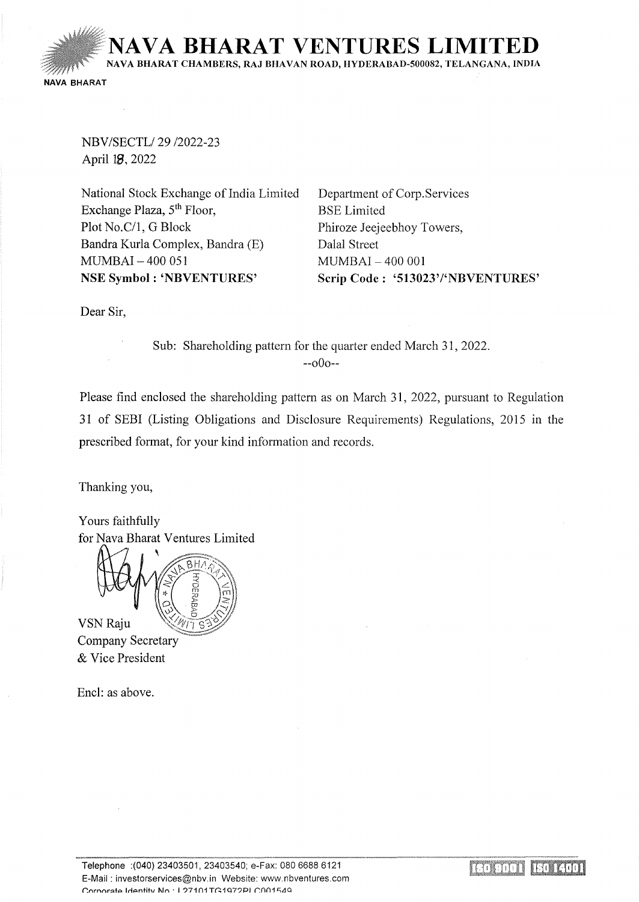**NA VA BHARA T VENTURES LIMITED**  NA VA BHARAT CHAMBERS, RAJ BHA VAN ROAD, HYDERABAD-500082, TELANGANA, INDIA NAVA BHARAT

NBV/SECTL/29 /2022-23 April 18, 2022

National Stock Exchange of India Limited Exchange Plaza,  $5<sup>th</sup>$  Floor, Plot No.C/1, G Block Bandra Kurla Complex, Bandra (E) MUMBAI - 400 051 NSE Symbol: 'NBVENTURES'

Department of Corp.Services BSE Limited Phiroze Jeejeebhoy Towers, Dalal Street MUMBAI - 400 001 Scrip Code: '513023'/'NBVENTURES'

Dear Sir,

Sub: Shareholding pattern for the quarter ended March 31, 2022. --oOo--

Please find enclosed the shareholding pattern as on March 31, 2022, pursuant to Regulation 31 of SEBI (Listing Obligations and Disclosure Requirements) Regulations, 2015 in the prescribed format, for your kind information and records.

Thanking you,

Yours faithfully for Nava Bharat Ventures Limited



**VSN Raju Company Secretary** & Vice President

Encl: as above.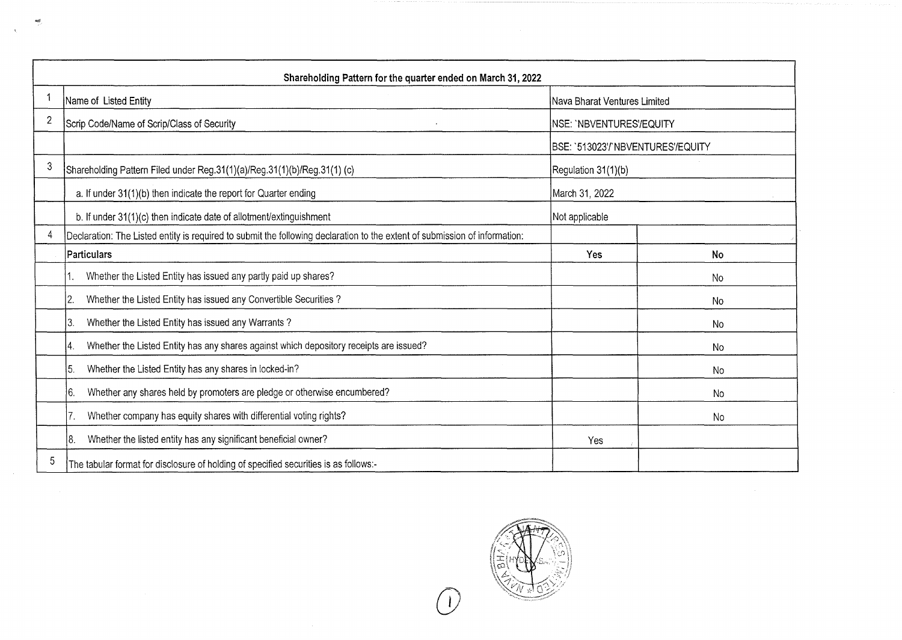|                | Shareholding Pattern for the quarter ended on March 31, 2022                                                               |                                   |    |  |  |  |  |  |  |  |  |
|----------------|----------------------------------------------------------------------------------------------------------------------------|-----------------------------------|----|--|--|--|--|--|--|--|--|
|                | Name of Listed Entity                                                                                                      | Nava Bharat Ventures Limited      |    |  |  |  |  |  |  |  |  |
| $\overline{2}$ | Scrip Code/Name of Scrip/Class of Security                                                                                 | INSE: `NBVENTURES'/EQUITY         |    |  |  |  |  |  |  |  |  |
|                |                                                                                                                            | BSE: `513023'/`NBVENTURES'/EQUITY |    |  |  |  |  |  |  |  |  |
| 3              | Shareholding Pattern Filed under Reg.31(1)(a)/Reg.31(1)(b)/Reg.31(1) (c)<br>Regulation 31(1)(b)                            |                                   |    |  |  |  |  |  |  |  |  |
|                | a. If under 31(1)(b) then indicate the report for Quarter ending                                                           | March 31, 2022                    |    |  |  |  |  |  |  |  |  |
|                | b. If under 31(1)(c) then indicate date of allotment/extinguishment                                                        | Not applicable                    |    |  |  |  |  |  |  |  |  |
| 4              | Declaration: The Listed entity is required to submit the following declaration to the extent of submission of information: |                                   |    |  |  |  |  |  |  |  |  |
|                | Particulars                                                                                                                | Yes                               | No |  |  |  |  |  |  |  |  |
|                | Whether the Listed Entity has issued any partly paid up shares?                                                            |                                   | No |  |  |  |  |  |  |  |  |
|                | Whether the Listed Entity has issued any Convertible Securities?<br>2.                                                     |                                   | No |  |  |  |  |  |  |  |  |
|                | Whether the Listed Entity has issued any Warrants?<br>13.                                                                  |                                   | No |  |  |  |  |  |  |  |  |
|                | Whether the Listed Entity has any shares against which depository receipts are issued?<br>4.                               |                                   | No |  |  |  |  |  |  |  |  |
|                | Whether the Listed Entity has any shares in locked-in?<br>5.                                                               |                                   | No |  |  |  |  |  |  |  |  |
|                | Whether any shares held by promoters are pledge or otherwise encumbered?<br>16.                                            |                                   | No |  |  |  |  |  |  |  |  |
|                | Whether company has equity shares with differential voting rights?                                                         |                                   | No |  |  |  |  |  |  |  |  |
|                | 8.<br>Whether the listed entity has any significant beneficial owner?                                                      | Yes                               |    |  |  |  |  |  |  |  |  |
| 5              | The tabular format for disclosure of holding of specified securities is as follows:-                                       |                                   |    |  |  |  |  |  |  |  |  |

 $\sim$ 



 $\sim$   $\chi_{\rm c}$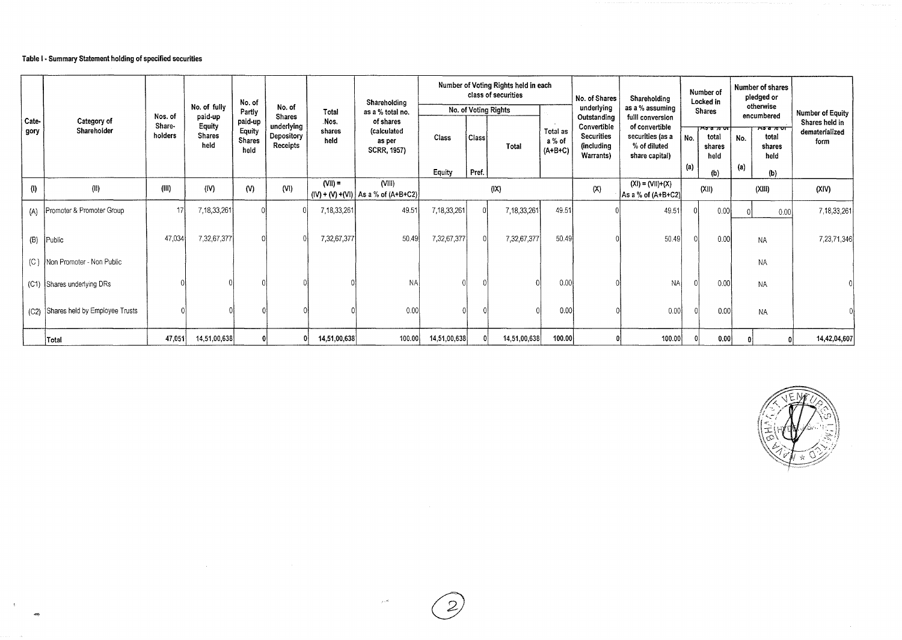## Table I· Summary Statement holding of specified securities

 $\langle \rangle$ 

|               |                                |                   |                                 | No. of                              |                                      |                        | Shareholding                                             |                 |                | Number of Voting Rights held in each<br>class of securities |                                 | No. of Shares                                        | Shareholding                                                         |            | Number of<br>Locked in                                  |            | Number of shares<br>pledged or           |                                          |
|---------------|--------------------------------|-------------------|---------------------------------|-------------------------------------|--------------------------------------|------------------------|----------------------------------------------------------|-----------------|----------------|-------------------------------------------------------------|---------------------------------|------------------------------------------------------|----------------------------------------------------------------------|------------|---------------------------------------------------------|------------|------------------------------------------|------------------------------------------|
|               |                                | Nos. of           | No. of fully<br>paid-up         | Partly                              | No. of<br><b>Shares</b>              | Total                  | as a % total no.                                         |                 |                | No. of Voting Rights                                        |                                 | underlying<br>Outstanding                            | as a % assuming<br>fulll conversion                                  |            | <b>Shares</b>                                           |            | otherwise<br>encumbered                  | Number of Equity                         |
| Cate-<br>gory | Category of<br>Shareholder     | Share-<br>holders | Equity<br><b>Shares</b><br>held | paid-up<br>Equity<br>Shares<br>held | underlying<br>Depository<br>Receipts | Nos.<br>shares<br>held | of shares<br>(calculated<br>as per<br><b>SCRR, 1957)</b> | Class<br>Equity | Class<br>Pref. | Total                                                       | Total as<br>a % of<br>$(A+B+C)$ | Convertible<br>Securities<br>(including<br>Warrants) | of convertible<br>securities (as a<br>% of diluted<br>share capital) | No.<br>(a) | <del>ਨਤ ਕ ∌ ਹਾ†</del><br>total<br>shares<br>held<br>(b) | No.<br>(a) | 757700<br>total<br>shares<br>held<br>(b) | Shares held in<br>dematerialized<br>form |
| (1)           | (11)                           | (III)             | (IV)                            | (N)                                 | (N)                                  | $(VII) =$              | (VIII)                                                   | (X)             |                |                                                             |                                 | (X)                                                  | $(XI) = (VII)+(X)$<br>As a % of (A+B+C2)                             | (XI)       |                                                         |            | (XIII)                                   | (XIN)                                    |
|               | Promoter & Promoter Group      | 17                | 7,18,33,261                     |                                     |                                      | 7,18,33,261            | $(IV) + (V) + (VI)$ As a % of (A+B+C2)<br>49.51          | 7,18,33,261     | 7,18,33,261    |                                                             | 49.51                           |                                                      | 49.51<br>0.00                                                        |            |                                                         | 0.00       | 7,18,33,261                              |                                          |
| (A)           |                                |                   |                                 |                                     |                                      |                        |                                                          |                 |                |                                                             |                                 |                                                      |                                                                      |            |                                                         |            |                                          |                                          |
| (B)           | Public                         | 47,034            | 7,32,67,377                     |                                     |                                      | 7,32,67,377            | 50.49                                                    | 7,32,67,377     |                | 7,32,67,377                                                 | 50.49                           |                                                      | 50.49                                                                |            | 0.00                                                    |            | <b>NA</b>                                | 7,23,71,346                              |
| (C)           | Non Promoter - Non Public      |                   |                                 |                                     |                                      |                        |                                                          |                 |                |                                                             |                                 |                                                      |                                                                      |            |                                                         |            | <b>NA</b>                                |                                          |
|               | (C1) Shares underlying DRs     |                   |                                 |                                     |                                      |                        | <b>NA</b>                                                |                 |                |                                                             | 0.00                            |                                                      | <b>NA</b>                                                            |            | 0.00                                                    |            | <b>NA</b>                                |                                          |
| (C2)          | Shares held by Employee Trusts |                   |                                 |                                     |                                      |                        | 0.00                                                     |                 |                |                                                             | 0.00                            |                                                      | 0.00                                                                 |            | 0.00                                                    |            | <b>NA</b>                                |                                          |
|               | Total                          | 47,051            | 14,51,00,638                    |                                     |                                      | 14,51,00,638           | 100.00                                                   | 14,51,00,638    |                | 14,51,00,638                                                | 100.00                          |                                                      | 100.00                                                               |            | 0.00                                                    |            |                                          | 14,42,04,607                             |



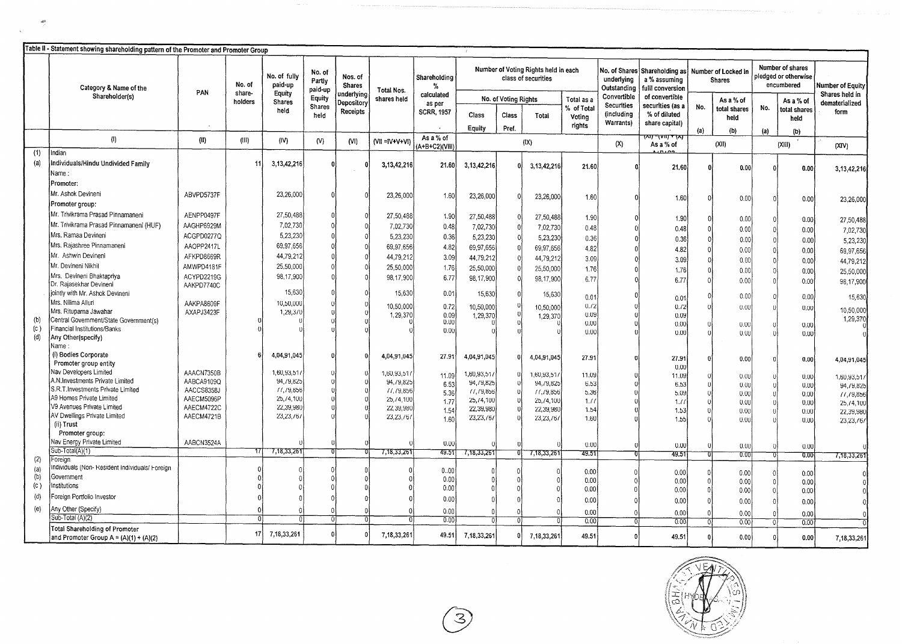|     | able il - Statement showing shareholding pattern of the Promoter and Promoter Group |            |                   |                         |                             |                          |                   |                             |             |                      |                                                             |                      |                                            |                                                     |                  |                                      |          |                                                        |                                  |
|-----|-------------------------------------------------------------------------------------|------------|-------------------|-------------------------|-----------------------------|--------------------------|-------------------|-----------------------------|-------------|----------------------|-------------------------------------------------------------|----------------------|--------------------------------------------|-----------------------------------------------------|------------------|--------------------------------------|----------|--------------------------------------------------------|----------------------------------|
|     | Category & Name of the                                                              | PAN        | No. of            | No. of fully<br>paid-up | No. of<br>Partly<br>paid-up | Nos. of<br>Shares        | Total Nos.        | Shareholding<br>$\%$        |             |                      | Number of Voting Rights held in each<br>class of securities |                      | No. of Shares<br>underlying<br>Outstanding | Shareholding as<br>a % assuming<br>fulll conversion |                  | Number of Locked in<br><b>Shares</b> |          | Number of shares<br>pledged or otherwise<br>encumbered | Number of Equity                 |
|     | Shareholder(s)                                                                      |            | share-<br>holders | Equity<br>Shares        | Equity                      | underlying<br>Depository | shares held       | calculated<br>as per        |             | No. of Voting Rights |                                                             | Total as a           | Convertible<br><b>Securities</b>           | of convertible<br>securities (as a                  |                  | As a % of                            |          | As a % of                                              | Shares held in<br>dematerialized |
|     |                                                                                     |            |                   | held                    | <b>Shares</b><br>held       | Receipts                 |                   | <b>SCRR, 1957</b>           | Class       | Class                | Total                                                       | % of Total<br>Voting | (including                                 | % of diluted                                        | No.              | total shares<br>held                 | No.      | total shares<br>held                                   | form                             |
|     |                                                                                     |            |                   |                         |                             |                          |                   |                             | Equity      | Pref.                |                                                             | rights               | Warrants)                                  | share capital)                                      | $\{a\}$          | (b)                                  | (a)      | (b)                                                    |                                  |
|     | (1)                                                                                 | (II)       | (11)              | (IV)                    | (N)                         | (NI)                     | $(VII = IV+V+VI)$ | As a % of<br>(A+B+C2)(VIII) |             |                      | (IX)                                                        |                      | (X)                                        | −(गाए रा⊼<br>w<br>As a % of                         |                  | (XII)                                |          | (XIII)                                                 | (XIV)                            |
| (1) | Indian                                                                              |            |                   |                         |                             |                          |                   |                             |             |                      |                                                             |                      |                                            |                                                     |                  |                                      |          |                                                        |                                  |
| (a) | Individuals/Hindu Undivided Family                                                  |            | -11               | 3, 13, 42, 216          | f)                          |                          | 3, 13, 42, 216    | 21.60                       | 3,13,42,216 | n                    | 3, 13, 42, 216                                              | 21.60                |                                            | 21.60                                               |                  |                                      |          |                                                        |                                  |
|     | Name:                                                                               |            |                   |                         |                             |                          |                   |                             |             |                      |                                                             |                      |                                            |                                                     |                  | 0.00                                 |          | 0.00                                                   | 3, 13, 42, 216                   |
|     | Promoter:                                                                           |            |                   |                         |                             |                          |                   |                             |             |                      |                                                             |                      |                                            |                                                     |                  |                                      |          |                                                        |                                  |
|     | Mr. Ashok Devineni                                                                  | ABVPD5737F |                   | 23,26,000               | $\sqrt{ }$                  |                          | 23,26,000         | 1.60                        | 23,26,000   |                      | 23,26,000                                                   |                      |                                            |                                                     |                  |                                      |          |                                                        |                                  |
|     | Promoter group:                                                                     |            |                   |                         |                             |                          |                   |                             |             |                      |                                                             | 1.60                 |                                            | 1.60                                                |                  | 0.00                                 | 0,       | 0.00                                                   | 23,26,000                        |
|     | Mr. Trivikrama Prasad Pinnamaneni                                                   | AENPP0497F |                   | 27,50,488               |                             |                          | 27,50,488         | 1.90                        |             |                      |                                                             |                      |                                            |                                                     |                  |                                      |          |                                                        |                                  |
|     | Mr. Trivikrama Prasad Pinnamaneni (HUF)                                             | AAGHP6929M |                   | 7,02,730                |                             |                          |                   |                             | 27,50,488   |                      | 27,50,488                                                   | 1.90                 |                                            | 1.90                                                |                  | 0.00                                 | 0.       | 0.00                                                   | 27,50,488                        |
|     | Mrs. Ramaa Devineni                                                                 |            |                   |                         |                             |                          | 7,02,730          | 0.48                        | 7,02,730    | $\Omega$             | 7,02,730                                                    | 0.48                 |                                            | 0.48                                                |                  | 0.00                                 | Ω        | 0.00                                                   | 7,02,730                         |
|     |                                                                                     | ACGPD0277Q |                   | 5,23,230                |                             | $\Omega$                 | 5,23,230          | 0.36                        | 5,23,230    |                      | 5,23,230                                                    | 0.36                 |                                            | 0.36                                                |                  | 0.00                                 | $\Omega$ | 0.00                                                   | 5,23,230                         |
|     | Mrs. Rajashree Pinnamaneni                                                          | AAOPP2417L |                   | 69,97,656               |                             | $\Omega$                 | 69,97,656         | 4.82                        | 69,97,656   |                      | 69,97,656                                                   | 4.82                 |                                            | 4.82                                                |                  | 0.00                                 |          | 0.00                                                   | 69,97,656                        |
|     | Mr. Ashwin Devineni                                                                 | AFKPD8669R |                   | 44,79,212               |                             |                          | 44,79,212         | 3.09                        | 44,79,212   |                      | 44,79,212                                                   | 3.09                 |                                            | 3.09                                                |                  | 0.00                                 |          | 0.00                                                   | 44,79,212                        |
|     | Mr. Devineni Nikhil                                                                 | AMWPD4181F |                   | 25,50,000               |                             |                          | 25,50,000         | 1.76                        | 25,50,000   |                      | 25,50,000                                                   | 1.76                 |                                            | 1.76                                                |                  | 0.00                                 |          | 0:00                                                   | 25,50,000                        |
|     | Mrs. Devineni Bhaktapriya                                                           | ACYPD2219G |                   | 98,17,900               |                             |                          | 98, 17, 900       | 6.77                        | 98.17,900   |                      | 98, 17, 900                                                 | 6.77                 |                                            | 6.77                                                | $\Omega$         | 0.00                                 |          | 0.00                                                   | 98,17,900                        |
|     | Dr. Rajasekhar Devineni                                                             | AAKPD7740C |                   | 15,630                  |                             |                          |                   |                             |             |                      |                                                             |                      |                                            |                                                     |                  |                                      |          |                                                        |                                  |
|     | jointly with Mr. Ashok Devineni<br>Mrs. Nilima Alluri                               |            |                   |                         |                             |                          | 15,630            | 0.01                        | 15,630      |                      | 15,630                                                      | 0.01                 |                                            | 0.01                                                |                  | 0.00                                 |          | 0.00                                                   | 15,630                           |
|     | Mrs. Rituparna Jawahar                                                              | AAKPA8609F |                   | 10,50,000               |                             |                          | 10,50,000         | 0.72                        | 10,50,000   |                      | 10,50,000                                                   | 0.72                 |                                            | 0.72                                                |                  | 0.00                                 |          | 0.00                                                   | 10,50,000                        |
|     | Central Government/State Government(s)                                              | AXAPJ3423F |                   | 1,29,370                |                             |                          | 1,29,370          | 0.09                        | 1,29,370    |                      | 1,29,370                                                    | 0.09                 |                                            | 0.09                                                |                  |                                      |          |                                                        | 1,29,370                         |
| (c) | Financial Institutions/Banks                                                        |            |                   |                         |                             |                          |                   | 0.00<br>0.00                |             |                      |                                                             | 0.00                 |                                            | 0.00                                                |                  | 0.00                                 |          | 0.00                                                   |                                  |
| (d) | Any Other(specify)                                                                  |            |                   |                         |                             |                          |                   |                             |             |                      |                                                             | 0.00                 |                                            | 0.00                                                |                  | 0.00                                 |          | 0.00                                                   |                                  |
|     | Name :                                                                              |            |                   |                         |                             |                          |                   |                             |             |                      |                                                             |                      |                                            |                                                     |                  |                                      |          |                                                        |                                  |
|     | (i) Bodies Corporate                                                                |            |                   | 4,04,91,045             |                             |                          | 4,04,91,045       | 27.91                       | 4,04,91,045 |                      | 4,04,91,045                                                 | 27.91                |                                            | 27.91                                               |                  | 0.00                                 |          |                                                        |                                  |
|     | Promoter group entity                                                               |            |                   |                         |                             |                          |                   |                             |             |                      |                                                             |                      |                                            | 0.00                                                |                  |                                      |          | 0.00                                                   | 4,04,91,045                      |
|     | Nav Developers Limited                                                              | AAACN7350B |                   | 1,60,93,51              | $\theta$                    |                          | 1,60,93,51        | 11.09                       | 1,60,93,51  |                      | 1,60,93,51                                                  | 11.09                |                                            | 11.09                                               |                  | 0.00                                 |          | 0,00                                                   | 1,60,93,51                       |
|     | A.N.Investments Private Limited                                                     | AABCA9109Q |                   | 94,79,825               | $\theta$                    |                          | 94,79,825         | 6.53                        | 94,79,825   |                      | 94, / 9, 825                                                | 6.53                 |                                            | 6.53                                                | $\mathbf{u}$     | 0.00                                 |          | 0.00                                                   | 94,79,825                        |
|     | S.R.T.Investments Private Limited                                                   | AACCS8358J |                   | 11, 19, 856             |                             |                          | 11, 19, 856       | 5.36                        | 11, 19, 856 |                      | 11, 19, 856                                                 | 5.36                 |                                            | 5.09                                                |                  | 0.00                                 |          | 0.00                                                   | 11, 19, 856                      |
|     | A9 Homes Private Limited                                                            | AAECM5096P |                   | 25,74,100               | $\left\{ \right\}$          |                          | 25,74,100         | 1.77                        | 25,74,100   |                      | 25, / 4, 100                                                | 1.11                 |                                            | 1.7                                                 |                  | 0.00                                 |          | 0.00                                                   | 25,74,100                        |
|     | V9 Avenues Private Limited<br>AV Dwellings Private Limited                          | AAECM4722C |                   | 22,39,980               |                             |                          | 22,39,980         | 1.54                        | 22,39,980   |                      | 22,39,980                                                   | 1.54                 |                                            | 1.53                                                |                  | 0.00                                 |          | 0.00                                                   | 22,39,980                        |
|     | (ii) Trust                                                                          | AAECM4721B |                   | 23,23,76                |                             |                          | 23,23,76          | 1.60                        | 23, 23, 767 |                      | 23,23,76                                                    | 1.60                 |                                            | 1.55                                                |                  | 0.00                                 |          | 0.00                                                   | 23,23,767                        |
|     | Promoter group:                                                                     |            |                   |                         |                             |                          |                   |                             |             |                      |                                                             |                      |                                            |                                                     |                  |                                      |          |                                                        |                                  |
|     | Nav Energy Private Limited                                                          | AABCN3524A |                   |                         |                             |                          |                   | 0.00                        |             |                      |                                                             |                      |                                            |                                                     |                  |                                      |          |                                                        |                                  |
|     | Sub-Total(A)(1)                                                                     |            |                   | 7,18,33,261             |                             |                          | 7,18,33,261       | 49.51                       | 7,18,33,261 |                      | 7,18,33,261                                                 | 0.00<br>49.51        |                                            | 0.00<br>49.51                                       |                  | 0.00                                 | -0       | 0.00                                                   |                                  |
| (2) | Foreign                                                                             |            |                   |                         |                             |                          |                   |                             |             |                      |                                                             |                      |                                            |                                                     |                  | 0.00                                 | וס       | 0.00                                                   | 7,18,33,26                       |
| (a) | Individuals (Non- Resident Individuals/ Foreign                                     |            |                   |                         |                             |                          |                   | 0.00                        |             |                      |                                                             | 0.00                 | $\sqrt{ }$                                 | 0.00                                                | 0                | 0.00                                 |          | 0.00                                                   |                                  |
| (b) | Government                                                                          |            |                   |                         |                             |                          |                   | 0.00                        |             |                      |                                                             | 0.00                 | $\Omega$                                   | 0.00                                                | $\boldsymbol{0}$ | 0.00                                 | 0        | 0.00                                                   |                                  |
| (c) | Institutions                                                                        |            |                   |                         |                             |                          |                   | 0.00                        |             |                      |                                                             | 0.00                 | $\sqrt{ }$                                 | 0.00                                                | $\overline{0}$   | 0.00                                 |          | 0.00                                                   |                                  |
| (d) | oreign Portfolio Investor                                                           |            |                   |                         |                             |                          |                   | 0.00                        |             |                      |                                                             | 0.00                 |                                            | 0.00                                                | $\Omega$         | 0.00                                 | $\Omega$ | 0.00                                                   |                                  |
| (e) | Any Other (Specify)                                                                 |            |                   |                         |                             |                          |                   | 0.00                        |             |                      |                                                             | 0.00                 | $\Omega$                                   | 0.00                                                | $\Omega$         | 0.00                                 | $\Omega$ | 0.00                                                   |                                  |
|     | Sub-Total (A)(2)                                                                    |            |                   |                         | $\theta$                    | $\Omega$                 |                   | 0.00                        |             |                      |                                                             | 0.00                 | $\overline{0}$                             | 0.00                                                |                  | 0.00                                 | -ol      | 0.00                                                   |                                  |
|     | <b>Total Shareholding of Promoter</b><br>and Promoter Group $A = (A)(1) + (A)(2)$   |            | 171               | 7,18,33,261             |                             |                          | 7,18,33,26        | 49.51                       | 7,18,33,261 |                      | 7, 18, 33, 261                                              | 49.51                |                                            | 49.51                                               |                  | 0.00                                 | 0        | 0.00                                                   | 7, 18, 33, 261                   |

 $\mathcal{Z}$ 

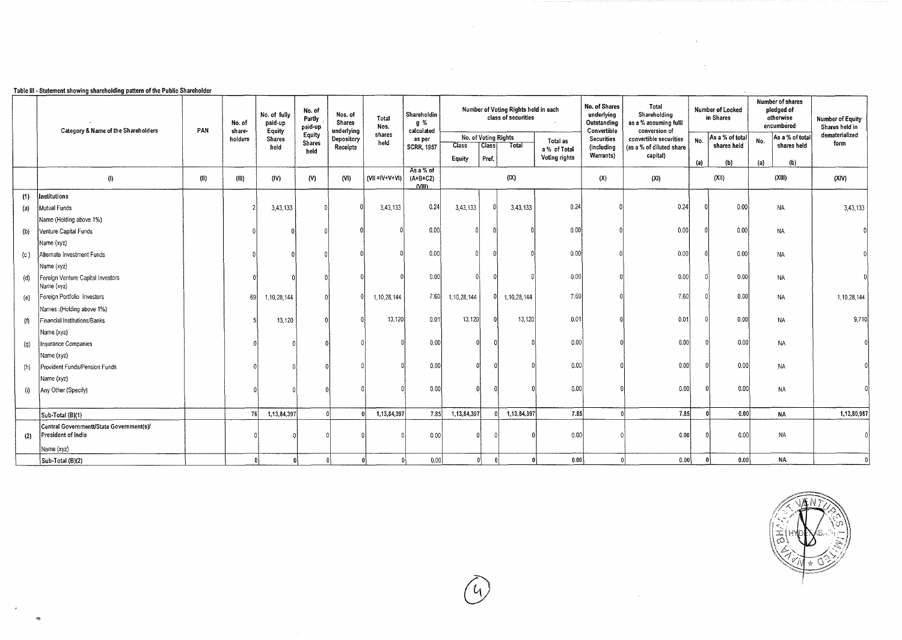|  | Table III - Statement showing shareholding pattern of the Public Shareholder |
|--|------------------------------------------------------------------------------|
|  |                                                                              |

~

 $\rightarrow$ 

|     | Category & Name of the Shareholders                            | PAN  | No. of<br>share- | No. of fully<br>paid-up<br>Equity | No. of<br>Partly<br>paid-up | Nos. of<br><b>Shares</b><br>underlying | Total<br>Nos.         | Shareholdin<br>g %<br>calculated |                      |       | Number of Voting Rights held in each<br>class of securities |               | No. of Shares<br>underlying<br>Outstanding<br>Convertible | Total<br>Shareholding<br>as a % assuming fulli<br>conversion of |             | Number of Locked<br>in Shares | Number of shares<br>pledged of<br>otherwise<br>encumbered | Number of Equity<br>Shares held in |
|-----|----------------------------------------------------------------|------|------------------|-----------------------------------|-----------------------------|----------------------------------------|-----------------------|----------------------------------|----------------------|-------|-------------------------------------------------------------|---------------|-----------------------------------------------------------|-----------------------------------------------------------------|-------------|-------------------------------|-----------------------------------------------------------|------------------------------------|
|     |                                                                |      | holders          | <b>Shares</b>                     | Equity<br><b>Shares</b>     | Depository                             | shares<br>held        | as per                           | No. of Voting Rights |       |                                                             | Total as      | <b>Securities</b>                                         | convertible securities                                          | No.         | As a % of total               | As a % of total<br>No.                                    | dematerialized<br>form             |
|     |                                                                |      |                  | held                              | held                        | Receipts                               |                       | <b>SCRR, 1957</b>                | <b>Class</b>         | Class | Total                                                       | a % of Total  | (includina                                                | (as a % of diluted share                                        | shares held |                               | shares held                                               |                                    |
|     |                                                                |      |                  |                                   |                             |                                        |                       |                                  | Equity               | Pref. |                                                             | Voting rights | Warrants)                                                 | capital)                                                        | (a)         | (b)                           | (a)<br>(b)                                                |                                    |
|     | (1)                                                            | (11) | (III)            | (IV)                              | (V)                         | (VI)                                   | $(VII = IV + V + VI)$ | As a % of<br>$(A+B+C2)$<br>NIII  |                      |       | (IX)                                                        |               | (X)                                                       | (XI)                                                            |             | (XII)                         | (XIII)                                                    | (XIV)                              |
| (1) | nstitutions                                                    |      |                  |                                   |                             |                                        |                       |                                  |                      |       |                                                             |               |                                                           |                                                                 |             |                               |                                                           |                                    |
| (a) | Mutual Funds                                                   |      |                  | 3,43,133                          |                             |                                        | 3,43,133              | 0.24                             | 3,43,133             |       | 3,43,133                                                    | 0.24          |                                                           | 0.24                                                            |             | 0.00                          | <b>NA</b>                                                 | 3,43,133                           |
|     | Name (Holding above 1%)                                        |      |                  |                                   |                             |                                        |                       |                                  |                      |       |                                                             |               |                                                           |                                                                 |             |                               |                                                           |                                    |
| (b) | Venture Capital Funds                                          |      |                  |                                   |                             |                                        |                       | 0.00                             |                      |       |                                                             | 0.00          |                                                           | 0.00                                                            |             | 0.00                          | <b>NA</b>                                                 |                                    |
|     | Name (xyz)                                                     |      |                  |                                   |                             |                                        |                       |                                  |                      |       |                                                             |               |                                                           |                                                                 |             |                               |                                                           |                                    |
| (c) | Alternate Investment Funds                                     |      |                  |                                   |                             |                                        |                       | 0.00                             |                      |       |                                                             | 0.00          |                                                           | 0.00                                                            |             | 0.00                          | ΝA                                                        |                                    |
|     | Name (xyz)                                                     |      |                  |                                   |                             |                                        |                       |                                  |                      |       |                                                             |               |                                                           |                                                                 |             |                               |                                                           |                                    |
| (d) | Foreign Venture Capital Investors<br>Name (xyz)                |      |                  |                                   |                             |                                        |                       | 0.001                            |                      |       |                                                             | 0.00          |                                                           | 0.00                                                            |             | 0.00                          | <b>NA</b>                                                 |                                    |
| (e) | Foreign Portfolio Investors                                    |      | 69               | 1,10,28,144                       |                             |                                        | 1, 10, 28, 144        | 7.60                             | 1, 10, 28, 144       |       | 1,10,28,144                                                 | 7.60          |                                                           | 7.60                                                            |             | 0.00                          | NA                                                        | 1, 10, 28, 144                     |
|     | Names : (Holding above 1%)                                     |      |                  |                                   |                             |                                        |                       |                                  |                      |       |                                                             |               |                                                           |                                                                 |             |                               |                                                           |                                    |
| (!) | Financial Institutions/Banks                                   |      |                  | 13,120                            |                             |                                        | 13,120                | 0.01                             | 13,120               |       | 13,120                                                      | 0.01          |                                                           | 0.01                                                            |             | 0.00                          | ΝA                                                        | 9,710                              |
|     | Name (xyz)                                                     |      |                  |                                   |                             |                                        |                       |                                  |                      |       |                                                             |               |                                                           |                                                                 |             |                               |                                                           |                                    |
| (g) | nsurance Companies                                             |      |                  |                                   |                             |                                        |                       | 0.00                             |                      |       |                                                             | 0.00          |                                                           | 0.00                                                            |             | 0.00                          | <b>NA</b>                                                 |                                    |
|     | Name (xyz)                                                     |      |                  |                                   |                             |                                        |                       |                                  |                      |       |                                                             |               |                                                           |                                                                 |             |                               |                                                           |                                    |
| (h) | Provident Funds/Pension Funds                                  |      |                  |                                   |                             |                                        |                       | 0.00                             |                      |       |                                                             | 0.00          |                                                           | 0.00                                                            |             | 0.00                          | <b>NA</b>                                                 |                                    |
|     | Name (xyz)                                                     |      |                  |                                   |                             |                                        |                       |                                  |                      |       |                                                             |               |                                                           |                                                                 |             |                               |                                                           |                                    |
| (i) | Any Other (Specify)                                            |      |                  |                                   |                             |                                        |                       | 0.00                             |                      |       |                                                             | 0.00          |                                                           | 0.00                                                            |             | 0.00                          | <b>NA</b>                                                 |                                    |
|     |                                                                |      |                  |                                   |                             |                                        |                       |                                  |                      |       |                                                             |               |                                                           |                                                                 |             |                               |                                                           |                                    |
|     | Sub-Total (B)(1)                                               |      | 76               | 1,13,84,397                       |                             |                                        | 1,13,84,397           | 7.85                             | 1,13,84,397          | 0Î.   | 1,13,84,397                                                 | 7.85          |                                                           | 7.85                                                            |             | 0.00                          | <b>NA</b>                                                 | 1,13,80,987                        |
| (2) | Central Governmentt/State Government(s)/<br>President of India |      |                  |                                   |                             |                                        |                       | 0.00                             |                      |       |                                                             | 0.00          |                                                           | 0.00                                                            |             | 0.00                          | NA.                                                       |                                    |
|     | Name (xyz)                                                     |      |                  |                                   |                             |                                        |                       |                                  |                      |       |                                                             |               |                                                           |                                                                 |             |                               |                                                           |                                    |
|     | Sub-Total (B)(2)                                               |      | ß                |                                   |                             | $\mathbf{0}$                           |                       | 0.00                             |                      |       |                                                             | 0.00          |                                                           | 0.00                                                            |             | 0.00                          | <b>NA</b>                                                 |                                    |

 $\label{eq:2.1} \mathcal{L}(\mathcal{L}^{\text{max}}_{\mathcal{L}}(\mathcal{L}^{\text{max}}_{\mathcal{L}}),\mathcal{L}^{\text{max}}_{\mathcal{L}}(\mathcal{L}^{\text{max}}_{\mathcal{L}}))$ 

 $(y)$ 

 $\mathcal{A}$ 



 $\label{eq:2.1} \frac{1}{\sqrt{2}}\left(\frac{1}{\sqrt{2}}\right)^{2} \left(\frac{1}{\sqrt{2}}\right)^{2} \left(\frac{1}{\sqrt{2}}\right)^{2} \left(\frac{1}{\sqrt{2}}\right)^{2} \left(\frac{1}{\sqrt{2}}\right)^{2} \left(\frac{1}{\sqrt{2}}\right)^{2} \left(\frac{1}{\sqrt{2}}\right)^{2} \left(\frac{1}{\sqrt{2}}\right)^{2} \left(\frac{1}{\sqrt{2}}\right)^{2} \left(\frac{1}{\sqrt{2}}\right)^{2} \left(\frac{1}{\sqrt{2}}\right)^{2} \left(\$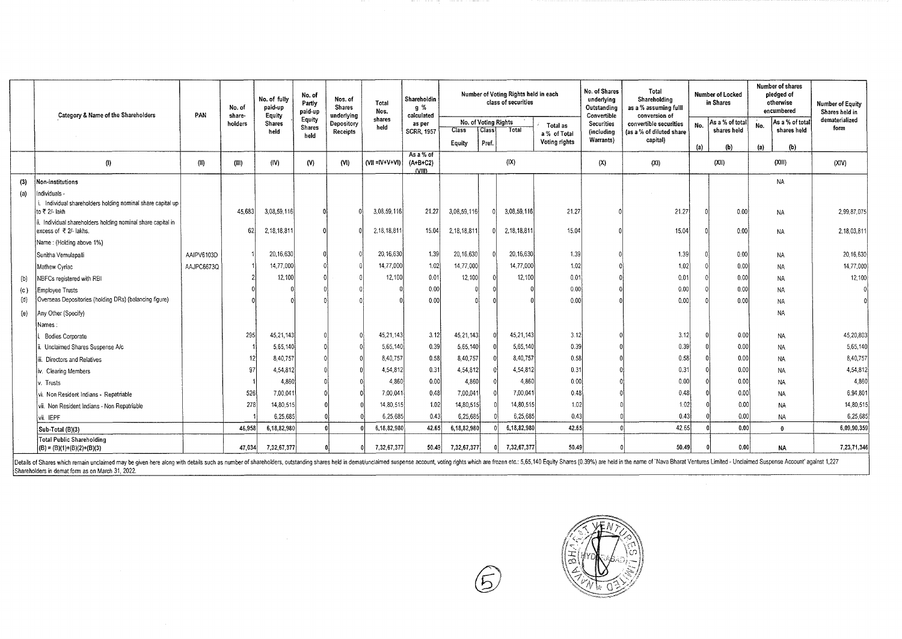|     | Category & Name of the Shareholders                                                    | PAN        | No. of<br>share- | No. of fully<br>paid-up<br>Equity | No. of<br>Partly<br>paid-up | Nos. of<br><b>Shares</b><br>underlying | Total<br>Nos.         | Shareholdin<br>g %<br>calculated  |                                                |                | Number of Voting Rights held in each<br>class of securities |                                           | No. of Shares<br>underlying<br>Outstanding<br>Convertible | Total<br>Shareholding<br>as a % assuming fulll<br>conversion of |     | <b>Number of shares</b><br>Number of Locked<br>pledged of<br>in Shares<br>otherwise<br>encumbered |                                       | <b>Number of Equity</b><br>Shares held in |
|-----|----------------------------------------------------------------------------------------|------------|------------------|-----------------------------------|-----------------------------|----------------------------------------|-----------------------|-----------------------------------|------------------------------------------------|----------------|-------------------------------------------------------------|-------------------------------------------|-----------------------------------------------------------|-----------------------------------------------------------------|-----|---------------------------------------------------------------------------------------------------|---------------------------------------|-------------------------------------------|
|     |                                                                                        |            | holders          | <b>Shares</b><br>held             | Equity<br>Shares<br>held    | Depository<br>Receipts                 | shares<br>held        | as per<br><b>SCRR, 1957</b>       | No. of Voting Rights<br><b>Class</b><br>Equity | Class<br>Pref. | Total                                                       | Total as<br>a % of Total<br>Voting rights | <b>Securities</b><br><i>(including</i><br>Warrants)       | convertible securities<br>(as a % of diluted share<br>capital)  | No. | As a % of total<br>shares held                                                                    | As a % of total<br>No.<br>shares held | dematerialized<br>form                    |
|     | $\left( 0 \right)$                                                                     | (ii)       | (III)            | (IV)                              | (N)                         | (N)                                    | $(VII = IV + V + VI)$ | As a % of<br>$(A+B+C2)$<br>(VIII) |                                                |                | (X)                                                         |                                           | (X)                                                       | (XI)                                                            | (a) | (b)<br>(XII)                                                                                      | (a)<br>(b)<br>(XIII)                  | (XIV)                                     |
| (3) | Non-institutions                                                                       |            |                  |                                   |                             |                                        |                       |                                   |                                                |                |                                                             |                                           |                                                           |                                                                 |     |                                                                                                   | <b>NA</b>                             |                                           |
| (a) | Individuals -                                                                          |            |                  |                                   |                             |                                        |                       |                                   |                                                |                |                                                             |                                           |                                                           |                                                                 |     |                                                                                                   |                                       |                                           |
|     | Individual shareholders holding nominal share capital up<br>to ₹ 2/- lakh              |            | 45,683           | 3,08,59,116                       |                             |                                        | 3,08,59,116           | 21.27                             | 3,08,59,116                                    |                | 3,08,59,116                                                 | 21.27                                     |                                                           | 21.27                                                           |     | 0.00                                                                                              | NA                                    | 2,99,87,075                               |
|     | ii. Individual shareholders holding nominal share capital in<br>excess of ₹ 2/- lakhs. |            | 62               | 2,18,18,811                       |                             |                                        | 2,18,18,811           | 15.04                             | 2,18,18,81                                     |                | 2, 18, 18, 81                                               | 15.04                                     |                                                           | 15.04                                                           |     | 0.00                                                                                              | <b>NA</b>                             | 2,18,03,811                               |
|     | Name: (Holding above 1%)                                                               |            |                  |                                   |                             |                                        |                       |                                   |                                                |                |                                                             |                                           |                                                           |                                                                 |     |                                                                                                   |                                       |                                           |
|     | Sunitha Vemulapalli                                                                    | AAIPV6103D |                  | 20, 16, 630                       |                             |                                        | 20,16,630             | 1.39                              | 20,16,630                                      |                | 20,16,630                                                   | 1.39                                      |                                                           | 1.39                                                            |     | 0.00                                                                                              | <b>NA</b>                             | 20,16,630                                 |
|     | Mathew Cyriac                                                                          | AAJPC6673Q |                  | 14,77,000                         |                             |                                        | 14,77,000             | 1.02                              | 14,77,000                                      |                | 14,77,000                                                   | 1.02                                      |                                                           | 1.02                                                            |     | 0.00                                                                                              | <b>NA</b>                             | 14,77,000                                 |
| (b) | NBFCs registered with RBI                                                              |            |                  | 12,100                            |                             |                                        | 12,100                | 0.01                              | 12,100                                         |                | 12,100                                                      | 0.01                                      |                                                           | 0.01                                                            |     | 0.00                                                                                              | <b>NA</b>                             | 12,100                                    |
| (c) | Employee Trusts                                                                        |            |                  |                                   |                             |                                        |                       | 0.00                              |                                                |                |                                                             | 0.00                                      |                                                           | 0.00                                                            |     | 0.00                                                                                              | <b>NA</b>                             |                                           |
| (d) | Overseas Depositories (holding DRs) (balancing figure)                                 |            |                  |                                   |                             |                                        |                       | 0.00                              |                                                |                |                                                             | 0.00                                      |                                                           | 0.00                                                            |     | 0.00                                                                                              | NA                                    |                                           |
| (e) | Any Other (Specify)                                                                    |            |                  |                                   |                             |                                        |                       |                                   |                                                |                |                                                             |                                           |                                                           |                                                                 |     |                                                                                                   | NA                                    |                                           |
|     | Names:                                                                                 |            |                  |                                   |                             |                                        |                       |                                   |                                                |                |                                                             |                                           |                                                           |                                                                 |     |                                                                                                   |                                       |                                           |
|     | <b>Bodies Corporate</b>                                                                |            | 295              | 45, 21, 143                       |                             |                                        | 45,21,143             | 3.12                              | 45, 21, 143                                    |                | 45, 21, 143                                                 | 3.12                                      |                                                           | 3.12                                                            |     | 0.00                                                                                              | NA                                    | 45,20,803                                 |
|     | Unclaimed Shares Suspense A/c                                                          |            |                  | 5,65,140                          |                             |                                        | 5,65,140              | 0.39                              | 5,65,140                                       |                | 5,65,140                                                    | 0.39                                      |                                                           | 0.39                                                            |     | 0.00                                                                                              | NA.                                   | 5,65,140                                  |
|     | iii. Directors and Relatives                                                           |            |                  | 8,40,757                          |                             |                                        | 8,40,757              | 0.58                              | 8,40,757                                       |                | 8,40,757                                                    | 0.58                                      |                                                           | 0.58                                                            |     | 0.00                                                                                              | <b>NA</b>                             | 8,40,757                                  |
|     | iv. Clearing Members                                                                   |            | 97               | 4,54,812                          |                             |                                        | 4.54.812              | 0.31                              | 4,54,812                                       |                | 4.54,812                                                    | 0.31                                      |                                                           | 0.31                                                            |     | 0.00                                                                                              | <b>NA</b>                             | 4,54,812                                  |
|     | Trusts                                                                                 |            |                  | 4,860                             |                             |                                        | 4.860                 | 0.00                              | 4,860                                          |                | 4,860                                                       | 0.00                                      |                                                           | 0.00                                                            |     | 0.00                                                                                              | NA                                    | 4,860                                     |
|     | vi. Non Resident Indians - Repatriable                                                 |            | 526              | 7,00,041                          |                             |                                        | 7,00,04               | 0.48                              | 7,00,041                                       |                | 7,00,041                                                    | 0.48                                      |                                                           | 0.48                                                            |     | 0.00                                                                                              | <b>NA</b>                             | 6,94,801                                  |
|     | vii. Non Resident Indians - Non Repatriable                                            |            | 278              | 14,80,515                         |                             |                                        | 14,80,515             | 1.02                              | 14,80,515                                      |                | 14,80,515                                                   | 1.02                                      |                                                           | 1.02                                                            |     | 0.00                                                                                              | <b>NA</b>                             | 14,80,515                                 |
|     | vii. IEPF                                                                              |            |                  | 6.25.685                          |                             |                                        | 6,25,685              | 0.43                              | 6,25,685                                       |                | 6,25,685                                                    | 0.43                                      |                                                           | 0.43                                                            |     | 0.00                                                                                              | NA                                    | 6,25,685                                  |
|     | Sub-Total (B)(3)                                                                       |            | 46.958           | 6,18,82,980                       |                             |                                        | 6,18,82,980           | 42.65                             | 6,18,82,980                                    |                | 6,18,82,980                                                 | 42.65                                     |                                                           | 42.65                                                           |     | 0.00                                                                                              | $\mathbf{0}$                          | 6,09,90,359                               |
|     | Total Public Shareholding<br>$ (B) = (B)(1)+(B)(2)+(B)(3)$                             |            | 47,034           | 7,32,67,377                       |                             |                                        | 7,32,67,377           | 50.49                             | 7,32,67,377                                    |                | 7,32,67,377                                                 | 50.49                                     |                                                           | 50.49                                                           |     | 0.00                                                                                              | <b>NA</b>                             | 7,23,71,346                               |

Details of Shares which remain unclaimed may be given here along with details such as number of shareholders, outstanding shares held in demat/unclaimed suspense account, voting rights which are frozen etc.: 5,65,140 Equit Shareholders in demat fonm as on March 31, 2022.

 $\sim$ 



 $\bigoplus$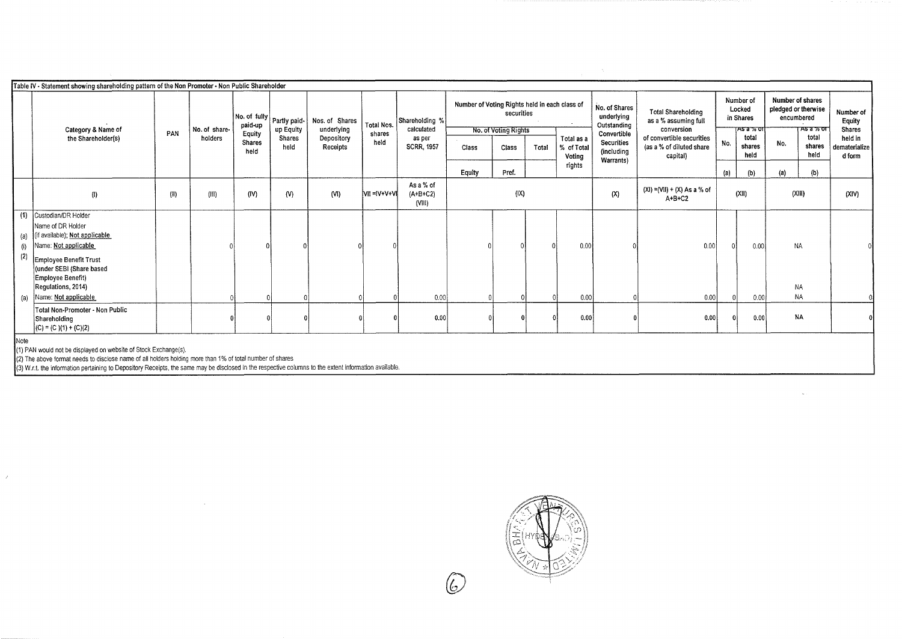|                   | Table IV - Statement showing shareholding pattern of the Non Promoter - Non Public Shareholder                                                                                                                                      |      |                          | paid-up                         | No. of fully   Partly paid- | Nos. of Shares                       | Total Nos.     | Shareholding %                            | Number of Voting Rights held in each class of | securities                    |       |                                   | No. of Shares<br>underlying<br>Outstanding                  | <b>Total Shareholding</b><br>as a % assuming full                               | Number of<br>Locked<br>in Shares |                                       | Number of shares<br>pledged or therwise<br>encumbered |                                             | Number of<br>Equity                                 |
|-------------------|-------------------------------------------------------------------------------------------------------------------------------------------------------------------------------------------------------------------------------------|------|--------------------------|---------------------------------|-----------------------------|--------------------------------------|----------------|-------------------------------------------|-----------------------------------------------|-------------------------------|-------|-----------------------------------|-------------------------------------------------------------|---------------------------------------------------------------------------------|----------------------------------|---------------------------------------|-------------------------------------------------------|---------------------------------------------|-----------------------------------------------------|
|                   | Category & Name of<br>the Shareholder(s)                                                                                                                                                                                            | PAN  | No. of share-<br>holders | Equity<br><b>Shares</b><br>held | up Equity<br>Shares<br>held | underlying<br>Depository<br>Receipts | shares<br>held | calculated<br>as per<br><b>SCRR, 1957</b> | Class                                         | No. of Voting Rights<br>Class | Total | Total as a<br>% of Tota<br>Voting | Convertible<br><b>Securities</b><br>(including<br>Warrants) | conversion<br>of convertible securities<br>(as a % of diluted share<br>capital) | No.                              | TAS a % or<br>total<br>shares<br>heid | No.                                                   | <b>ASA 76 OF</b><br>total<br>shares<br>held | <b>Shares</b><br>held in<br>dematerialize<br>d form |
|                   |                                                                                                                                                                                                                                     |      |                          |                                 |                             |                                      |                |                                           | Equity                                        | Pref.                         |       | rights                            |                                                             |                                                                                 | (a)                              | (b)                                   | (a)                                                   | (b)                                         |                                                     |
|                   | (1)                                                                                                                                                                                                                                 | (II) | (III)                    | (IV)                            | (N)                         | (VI)                                 | VII = IV+V+VI  | As a % of<br>$(A+B+C2)$<br>(VIII)         |                                               | (IX)                          |       |                                   | (X)                                                         | $(XI) = (VII) + (X) As a % of$<br>$A+B+C2$                                      |                                  | (XII)                                 | (XIII)                                                |                                             | (XIV)                                               |
| (i)<br>(2)<br>(a) | (1) Custodian/DR Holder<br>Name of DR Holder<br>(a) (if available); Not applicable<br>Name: Not applicable<br>Employee Benefit Trust<br>(under SEBI (Share based<br>Employee Benefit)<br>Regulations, 2014)<br>Name: Not applicable |      |                          |                                 |                             |                                      |                | 0.00                                      |                                               |                               |       | 0.00<br>0.00                      |                                                             | 0.00<br>0.00                                                                    |                                  | 0.00<br>0.00                          | <b>NA</b><br><b>NA</b>                                | <b>NA</b>                                   |                                                     |
|                   | Total Non-Promoter - Non Public<br>Shareholding<br>$(C) = (C)(1) + (C)(2)$                                                                                                                                                          |      |                          |                                 |                             |                                      |                | 0.00                                      |                                               |                               |       | 0.00                              |                                                             | 0.00                                                                            | $\Omega$                         | 0.00                                  |                                                       | <b>NA</b>                                   |                                                     |

(3) W.r.t. the information pertaining to Depository Receipts, the same may be disclosed in the respective columns to the extent information available.

 $\mathcal{F}^{\mathcal{S}}$ 

 $\frac{1}{\sqrt{2}}$ 

 $\sim$ 

*(&)*